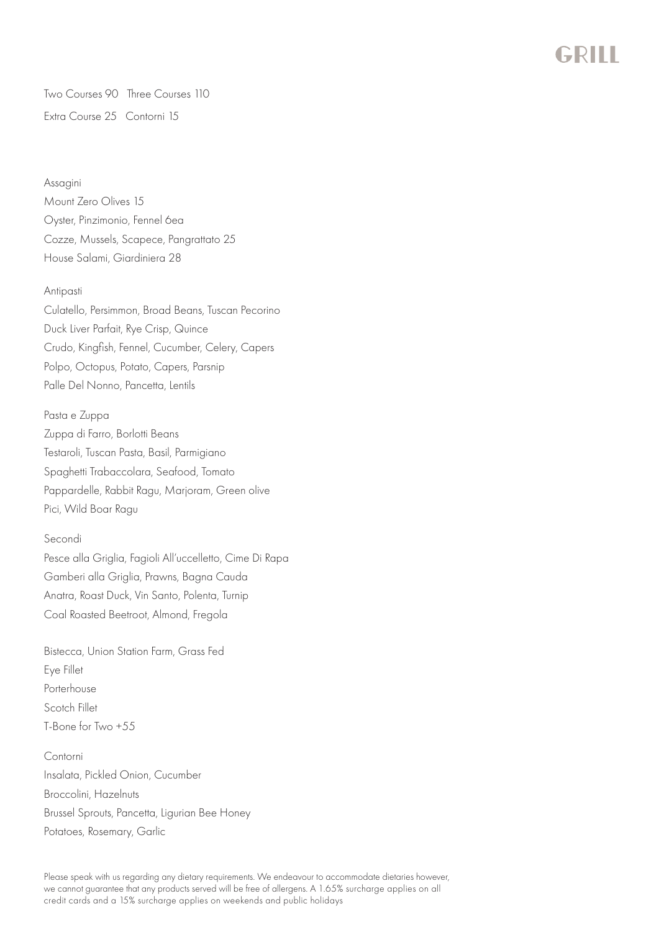

Two Courses 90 Three Courses 110 Extra Course 25 Contorni 15

Assagini Mount Zero Olives 15 Oyster, Pinzimonio, Fennel 6ea Cozze, Mussels, Scapece, Pangrattato 25 House Salami, Giardiniera 28

## Antipasti

Culatello, Persimmon, Broad Beans, Tuscan Pecorino Duck Liver Parfait, Rye Crisp, Quince Crudo, Kingfish, Fennel, Cucumber, Celery, Capers Polpo, Octopus, Potato, Capers, Parsnip Palle Del Nonno, Pancetta, Lentils

Pasta e Zuppa Zuppa di Farro, Borlotti Beans Testaroli, Tuscan Pasta, Basil, Parmigiano Spaghetti Trabaccolara, Seafood, Tomato Pappardelle, Rabbit Ragu, Marjoram, Green olive Pici, Wild Boar Ragu

## Secondi

Pesce alla Griglia, Fagioli All'uccelletto, Cime Di Rapa Gamberi alla Griglia, Prawns, Bagna Cauda Anatra, Roast Duck, Vin Santo, Polenta, Turnip Coal Roasted Beetroot, Almond, Fregola

Bistecca, Union Station Farm, Grass Fed Eye Fillet Porterhouse Scotch Fillet T-Bone for Two +55

Contorni Insalata, Pickled Onion, Cucumber Broccolini, Hazelnuts Brussel Sprouts, Pancetta, Ligurian Bee Honey Potatoes, Rosemary, Garlic